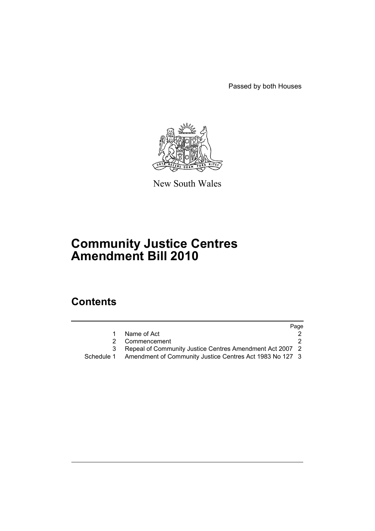Passed by both Houses



New South Wales

# **Community Justice Centres Amendment Bill 2010**

## **Contents**

|            |                                                          | Page |
|------------|----------------------------------------------------------|------|
|            | Name of Act                                              |      |
| 2          | Commencement                                             |      |
|            | Repeal of Community Justice Centres Amendment Act 2007 2 |      |
| Schedule 1 | Amendment of Community Justice Centres Act 1983 No 127 3 |      |
|            |                                                          |      |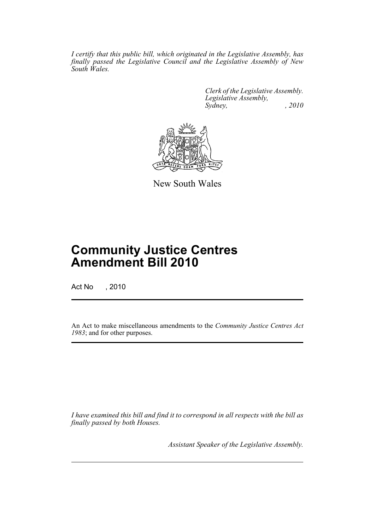*I certify that this public bill, which originated in the Legislative Assembly, has finally passed the Legislative Council and the Legislative Assembly of New South Wales.*

> *Clerk of the Legislative Assembly. Legislative Assembly, Sydney,* , 2010



New South Wales

## **Community Justice Centres Amendment Bill 2010**

Act No , 2010

An Act to make miscellaneous amendments to the *Community Justice Centres Act 1983*; and for other purposes.

*I have examined this bill and find it to correspond in all respects with the bill as finally passed by both Houses.*

*Assistant Speaker of the Legislative Assembly.*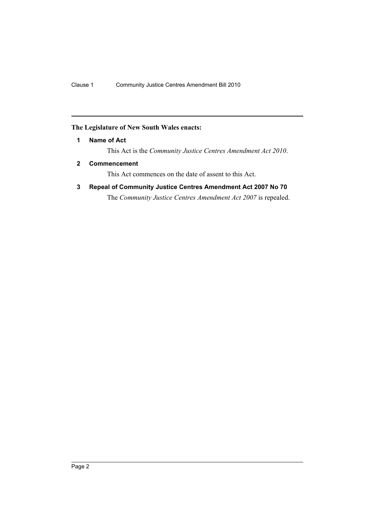## <span id="page-2-0"></span>**The Legislature of New South Wales enacts:**

**1 Name of Act**

This Act is the *Community Justice Centres Amendment Act 2010*.

<span id="page-2-1"></span>**2 Commencement**

This Act commences on the date of assent to this Act.

<span id="page-2-2"></span>**3 Repeal of Community Justice Centres Amendment Act 2007 No 70**

The *Community Justice Centres Amendment Act 2007* is repealed.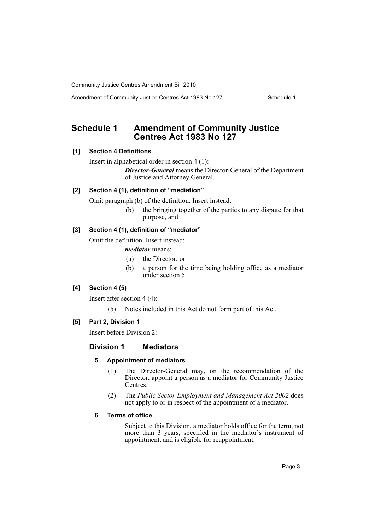Amendment of Community Justice Centres Act 1983 No 127 Schedule 1

## <span id="page-3-0"></span>**Schedule 1 Amendment of Community Justice Centres Act 1983 No 127**

## **[1] Section 4 Definitions**

Insert in alphabetical order in section 4 (1):

*Director-General* means the Director-General of the Department of Justice and Attorney General.

## **[2] Section 4 (1), definition of "mediation"**

Omit paragraph (b) of the definition. Insert instead:

(b) the bringing together of the parties to any dispute for that purpose, and

### **[3] Section 4 (1), definition of "mediator"**

Omit the definition. Insert instead:

#### *mediator* means:

- (a) the Director, or
- (b) a person for the time being holding office as a mediator under section 5.

## **[4] Section 4 (5)**

Insert after section 4 (4):

(5) Notes included in this Act do not form part of this Act.

### **[5] Part 2, Division 1**

Insert before Division 2:

### **Division 1 Mediators**

#### **5 Appointment of mediators**

- (1) The Director-General may, on the recommendation of the Director, appoint a person as a mediator for Community Justice Centres.
- (2) The *Public Sector Employment and Management Act 2002* does not apply to or in respect of the appointment of a mediator.

## **6 Terms of office**

Subject to this Division, a mediator holds office for the term, not more than 3 years, specified in the mediator's instrument of appointment, and is eligible for reappointment.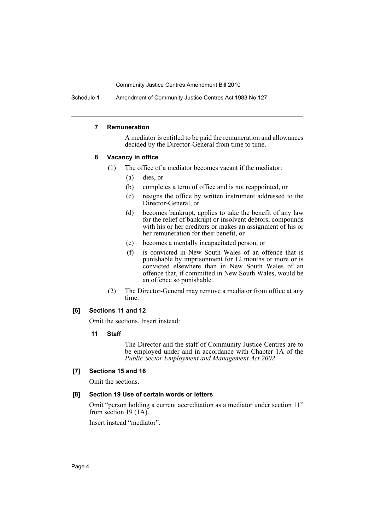Schedule 1 Amendment of Community Justice Centres Act 1983 No 127

#### **7 Remuneration**

A mediator is entitled to be paid the remuneration and allowances decided by the Director-General from time to time.

#### **8 Vacancy in office**

- (1) The office of a mediator becomes vacant if the mediator:
	- (a) dies, or
	- (b) completes a term of office and is not reappointed, or
	- (c) resigns the office by written instrument addressed to the Director-General, or
	- (d) becomes bankrupt, applies to take the benefit of any law for the relief of bankrupt or insolvent debtors, compounds with his or her creditors or makes an assignment of his or her remuneration for their benefit, or
	- (e) becomes a mentally incapacitated person, or
	- (f) is convicted in New South Wales of an offence that is punishable by imprisonment for 12 months or more or is convicted elsewhere than in New South Wales of an offence that, if committed in New South Wales, would be an offence so punishable.
- (2) The Director-General may remove a mediator from office at any time.

#### **[6] Sections 11 and 12**

Omit the sections. Insert instead:

**11 Staff**

The Director and the staff of Community Justice Centres are to be employed under and in accordance with Chapter 1A of the *Public Sector Employment and Management Act 2002*.

#### **[7] Sections 15 and 16**

Omit the sections.

#### **[8] Section 19 Use of certain words or letters**

Omit "person holding a current accreditation as a mediator under section 11" from section 19 (1A).

Insert instead "mediator".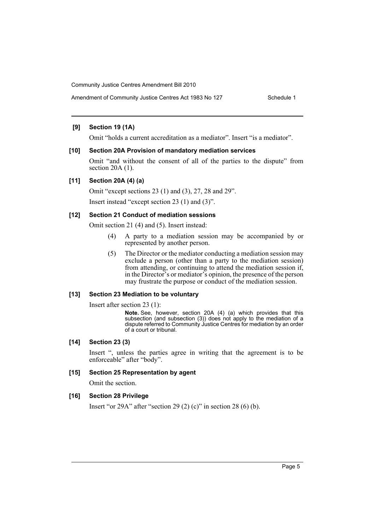#### **[9] Section 19 (1A)**

Omit "holds a current accreditation as a mediator". Insert "is a mediator".

#### **[10] Section 20A Provision of mandatory mediation services**

Omit "and without the consent of all of the parties to the dispute" from section  $20A(1)$ .

#### **[11] Section 20A (4) (a)**

Omit "except sections 23 (1) and (3), 27, 28 and 29".

Insert instead "except section 23 (1) and (3)".

#### **[12] Section 21 Conduct of mediation sessions**

Omit section 21 (4) and (5). Insert instead:

- (4) A party to a mediation session may be accompanied by or represented by another person.
- (5) The Director or the mediator conducting a mediation session may exclude a person (other than a party to the mediation session) from attending, or continuing to attend the mediation session if, in the Director's or mediator's opinion, the presence of the person may frustrate the purpose or conduct of the mediation session.

#### **[13] Section 23 Mediation to be voluntary**

Insert after section 23 (1):

**Note.** See, however, section 20A (4) (a) which provides that this subsection (and subsection (3)) does not apply to the mediation of a dispute referred to Community Justice Centres for mediation by an order of a court or tribunal.

#### **[14] Section 23 (3)**

Insert ", unless the parties agree in writing that the agreement is to be enforceable" after "body".

#### **[15] Section 25 Representation by agent**

Omit the section.

#### **[16] Section 28 Privilege**

Insert "or 29A" after "section 29 (2) (c)" in section 28 (6) (b).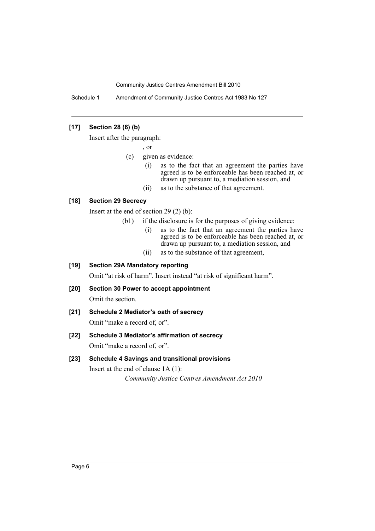Schedule 1 Amendment of Community Justice Centres Act 1983 No 127

## **[17] Section 28 (6) (b)**

Insert after the paragraph:

, or

- (c) given as evidence:
	- (i) as to the fact that an agreement the parties have agreed is to be enforceable has been reached at, or drawn up pursuant to, a mediation session, and
	- (ii) as to the substance of that agreement.

#### **[18] Section 29 Secrecy**

Insert at the end of section 29 (2) (b):

- (b1) if the disclosure is for the purposes of giving evidence:
	- (i) as to the fact that an agreement the parties have agreed is to be enforceable has been reached at, or drawn up pursuant to, a mediation session, and
	- (ii) as to the substance of that agreement,

## **[19] Section 29A Mandatory reporting**

Omit "at risk of harm". Insert instead "at risk of significant harm".

## **[20] Section 30 Power to accept appointment**

Omit the section.

**[21] Schedule 2 Mediator's oath of secrecy**

Omit "make a record of, or".

## **[22] Schedule 3 Mediator's affirmation of secrecy** Omit "make a record of, or".

## **[23] Schedule 4 Savings and transitional provisions**

Insert at the end of clause 1A (1): *Community Justice Centres Amendment Act 2010*